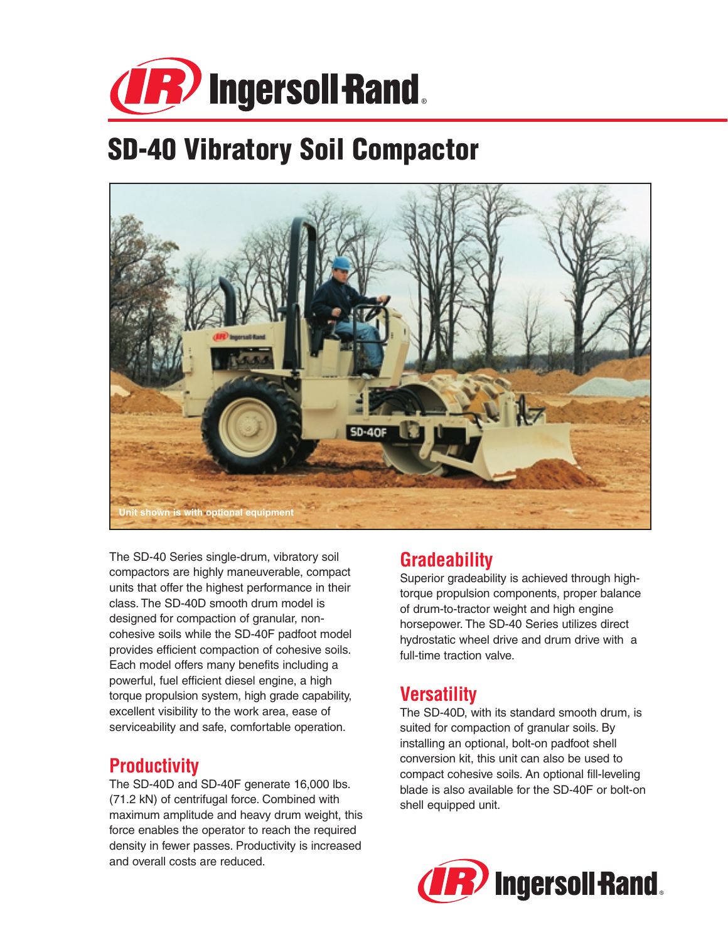

# **SD-40 Vibratory Soil Compactor**



The SD-40 Series single-drum, vibratory soil compactors are highly maneuverable, compact units that offer the highest performance in their class. The SD-40D smooth drum model is designed for compaction of granular, noncohesive soils while the SD-40F padfoot model provides efficient compaction of cohesive soils. Each model offers many benefits including a powerful, fuel efficient diesel engine, a high torque propulsion system, high grade capability, excellent visibility to the work area, ease of serviceability and safe, comfortable operation.

#### **Productivity**

The SD-40D and SD-40F generate 16,000 lbs. (71.2 kN) of centrifugal force. Combined with maximum amplitude and heavy drum weight, this force enables the operator to reach the required density in fewer passes. Productivity is increased and overall costs are reduced.

### **Gradeability**

Superior gradeability is achieved through hightorque propulsion components, proper balance of drum-to-tractor weight and high engine horsepower. The SD-40 Series utilizes direct hydrostatic wheel drive and drum drive with a full-time traction valve.

## **Versatility**

The SD-40D, with its standard smooth drum, is suited for compaction of granular soils. By installing an optional, bolt-on padfoot shell conversion kit, this unit can also be used to compact cohesive soils. An optional fill-leveling blade is also available for the SD-40F or bolt-on shell equipped unit.